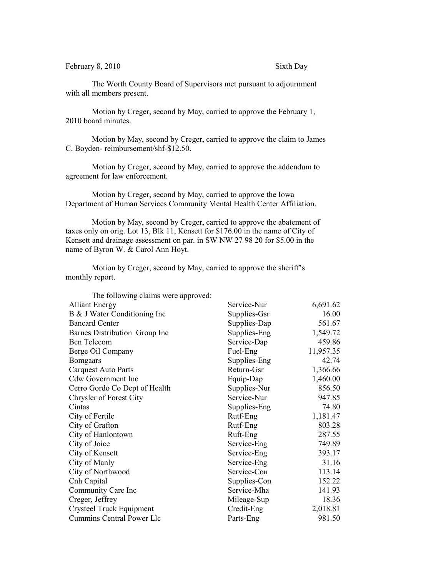The Worth County Board of Supervisors met pursuant to adjournment with all members present.

Motion by Creger, second by May, carried to approve the February 1, 2010 board minutes.

Motion by May, second by Creger, carried to approve the claim to James C. Boyden- reimbursement/shf-\$12.50.

Motion by Creger, second by May, carried to approve the addendum to agreement for law enforcement.

Motion by Creger, second by May, carried to approve the Iowa Department of Human Services Community Mental Health Center Affiliation.

Motion by May, second by Creger, carried to approve the abatement of taxes only on orig. Lot 13, Blk 11, Kensett for \$176.00 in the name of City of Kensett and drainage assessment on par. in SW NW 27 98 20 for \$5.00 in the name of Byron W. & Carol Ann Hoyt.

Motion by Creger, second by May, carried to approve the sheriff's monthly report.

| The following claims were approved: |              |           |
|-------------------------------------|--------------|-----------|
| <b>Alliant Energy</b>               | Service-Nur  | 6,691.62  |
| B & J Water Conditioning Inc        | Supplies-Gsr | 16.00     |
| <b>Bancard Center</b>               | Supplies-Dap | 561.67    |
| Barnes Distribution Group Inc       | Supplies-Eng | 1,549.72  |
| <b>Bcn</b> Telecom                  | Service-Dap  | 459.86    |
| Berge Oil Company                   | Fuel-Eng     | 11,957.35 |
| <b>Bomgaars</b>                     | Supplies-Eng | 42.74     |
| <b>Carquest Auto Parts</b>          | Return-Gsr   | 1,366.66  |
| Cdw Government Inc                  | Equip-Dap    | 1,460.00  |
| Cerro Gordo Co Dept of Health       | Supplies-Nur | 856.50    |
| Chrysler of Forest City             | Service-Nur  | 947.85    |
| Cintas                              | Supplies-Eng | 74.80     |
| City of Fertile                     | Rutf-Eng     | 1,181.47  |
| City of Grafton                     | Rutf-Eng     | 803.28    |
| City of Hanlontown                  | Ruft-Eng     | 287.55    |
| City of Joice                       | Service-Eng  | 749.89    |
| City of Kensett                     | Service-Eng  | 393.17    |
| City of Manly                       | Service-Eng  | 31.16     |
| City of Northwood                   | Service-Con  | 113.14    |
| Cnh Capital                         | Supplies-Con | 152.22    |
| Community Care Inc                  | Service-Mha  | 141.93    |
| Creger, Jeffrey                     | Mileage-Sup  | 18.36     |
| Crysteel Truck Equipment            | Credit-Eng   | 2,018.81  |
| Cummins Central Power Llc           | Parts-Eng    | 981.50    |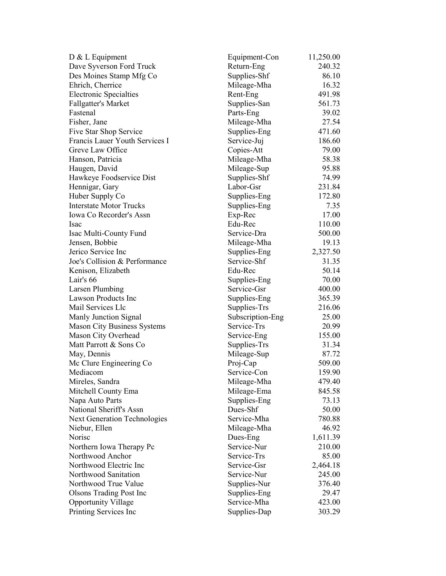| D & L Equipment                     | Equipment-Con    | 11,250.00 |
|-------------------------------------|------------------|-----------|
| Dave Syverson Ford Truck            | Return-Eng       | 240.32    |
| Des Moines Stamp Mfg Co             | Supplies-Shf     | 86.10     |
| Ehrich, Cherrice                    | Mileage-Mha      | 16.32     |
| <b>Electronic Specialties</b>       | Rent-Eng         | 491.98    |
| <b>Fallgatter's Market</b>          | Supplies-San     | 561.73    |
| Fastenal                            | Parts-Eng        | 39.02     |
| Fisher, Jane                        | Mileage-Mha      | 27.54     |
| Five Star Shop Service              | Supplies-Eng     | 471.60    |
| Francis Lauer Youth Services I      | Service-Juj      | 186.60    |
| Greve Law Office                    | Copies-Att       | 79.00     |
| Hanson, Patricia                    | Mileage-Mha      | 58.38     |
| Haugen, David                       | Mileage-Sup      | 95.88     |
| Hawkeye Foodservice Dist            | Supplies-Shf     | 74.99     |
| Hennigar, Gary                      | Labor-Gsr        | 231.84    |
| Huber Supply Co                     | Supplies-Eng     | 172.80    |
| <b>Interstate Motor Trucks</b>      | Supplies-Eng     | 7.35      |
| Iowa Co Recorder's Assn             | Exp-Rec          | 17.00     |
| Isac                                | Edu-Rec          | 110.00    |
| Isac Multi-County Fund              | Service-Dra      | 500.00    |
| Jensen, Bobbie                      | Mileage-Mha      | 19.13     |
| Jerico Service Inc                  | Supplies-Eng     | 2,327.50  |
| Joe's Collision & Performance       | Service-Shf      | 31.35     |
| Kenison, Elizabeth                  | Edu-Rec          | 50.14     |
| Lair's 66                           | Supplies-Eng     | 70.00     |
| <b>Larsen Plumbing</b>              | Service-Gsr      | 400.00    |
| <b>Lawson Products Inc</b>          | Supplies-Eng     | 365.39    |
| Mail Services Llc                   | Supplies-Trs     | 216.06    |
| Manly Junction Signal               | Subscription-Eng | 25.00     |
| <b>Mason City Business Systems</b>  | Service-Trs      | 20.99     |
| Mason City Overhead                 | Service-Eng      | 155.00    |
| Matt Parrott & Sons Co              | Supplies-Trs     | 31.34     |
| May, Dennis                         | Mileage-Sup      | 87.72     |
| Mc Clure Engineering Co             | Proj-Cap         | 509.00    |
| Mediacom                            | Service-Con      | 159.90    |
| Mireles, Sandra                     | Mileage-Mha      | 479.40    |
| Mitchell County Ema                 | Mileage-Ema      | 845.58    |
| Napa Auto Parts                     | Supplies-Eng     | 73.13     |
| National Sheriff's Assn             | Dues-Shf         | 50.00     |
| <b>Next Generation Technologies</b> | Service-Mha      | 780.88    |
| Niebur, Ellen                       | Mileage-Mha      | 46.92     |
| Norisc                              | Dues-Eng         | 1,611.39  |
| Northern Iowa Therapy Pc            | Service-Nur      | 210.00    |
| Northwood Anchor                    | Service-Trs      | 85.00     |
| Northwood Electric Inc              | Service-Gsr      | 2,464.18  |
| Northwood Sanitation                | Service-Nur      | 245.00    |
| Northwood True Value                | Supplies-Nur     | 376.40    |
| <b>Olsons Trading Post Inc</b>      | Supplies-Eng     | 29.47     |
| <b>Opportunity Village</b>          | Service-Mha      | 423.00    |
| Printing Services Inc               | Supplies-Dap     | 303.29    |
|                                     |                  |           |